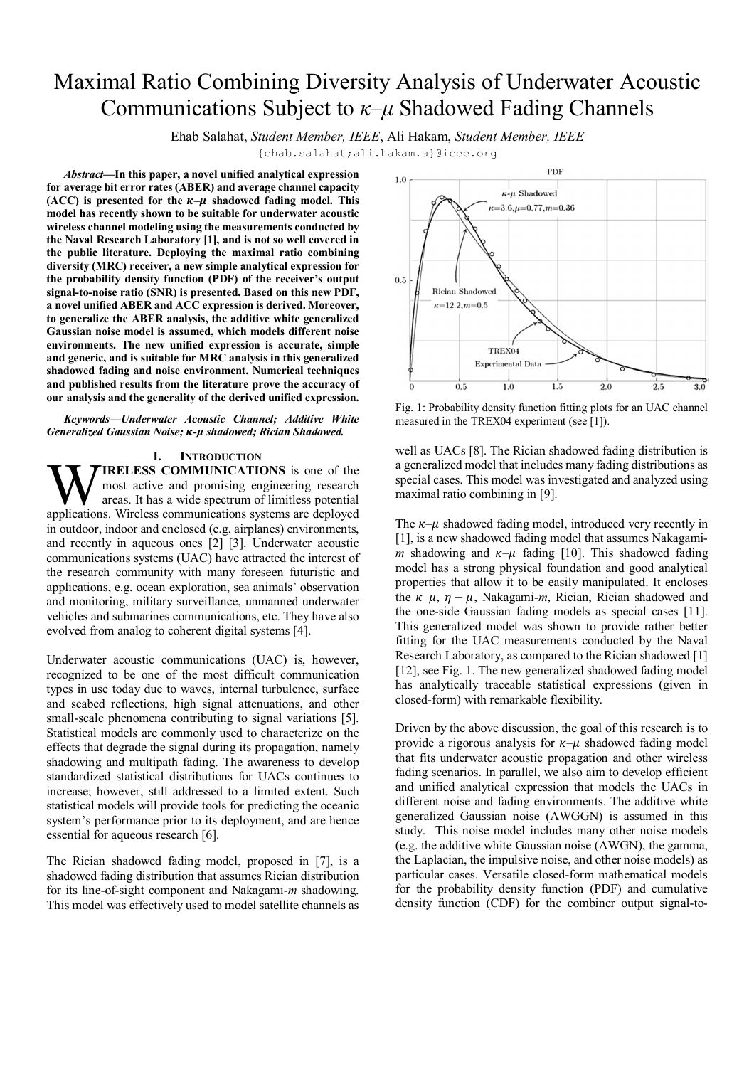# Maximal Ratio Combining Diversity Analysis of Underwater Acoustic Communications Subject to *κ–μ* Shadowed Fading Channels

Ehab Salahat, *Student Member, IEEE*, Ali Hakam, *Student Member, IEEE*

{ehab.salahat;ali.hakam.a}[@ieee.org](mailto:@ieee.org)

*Abstract***—In this paper, a novel unified analytical expression for average bit error rates (ABER) and average channel capacity**  (ACC) is presented for the  $\kappa-\mu$  shadowed fading model. This **model has recently shown to be suitable for underwater acoustic wireless channel modeling using the measurements conducted by the Naval Research Laboratory [1], and is not so well covered in the public literature. Deploying the maximal ratio combining diversity (MRC) receiver, a new simple analytical expression for the probability density function (PDF) of the receiver's output signal-to-noise ratio (SNR) is presented. Based on this new PDF, a novel unified ABER and ACC expression is derived. Moreover, to generalize the ABER analysis, the additive white generalized Gaussian noise model is assumed, which models different noise environments. The new unified expression is accurate, simple and generic, and is suitable for MRC analysis in this generalized shadowed fading and noise environment. Numerical techniques and published results from the literature prove the accuracy of our analysis and the generality of the derived unified expression.**

*Keywords—Underwater Acoustic Channel; Additive White Generalized Gaussian Noise;* ࣄ*-μ shadowed; Rician Shadowed.*

# **I. INTRODUCTION**

**IRELESS COMMUNICATIONS** is one of the most active and promising engineering research areas. It has a wide spectrum of limitless potential **WIRELESS COMMUNICATIONS** is one of the most active and promising engineering research areas. It has a wide spectrum of limitless potential applications. Wireless communications systems are deployed in outdoor, indoor and enclosed (e.g. airplanes) environments, and recently in aqueous ones [2] [3]. Underwater acoustic communications systems (UAC) have attracted the interest of the research community with many foreseen futuristic and applications, e.g. ocean exploration, sea animals' observation and monitoring, military surveillance, unmanned underwater vehicles and submarines communications, etc. They have also evolved from analog to coherent digital systems [4].

Underwater acoustic communications (UAC) is, however, recognized to be one of the most difficult communication types in use today due to waves, internal turbulence, surface and seabed reflections, high signal attenuations, and other small-scale phenomena contributing to signal variations [5]. Statistical models are commonly used to characterize on the effects that degrade the signal during its propagation, namely shadowing and multipath fading. The awareness to develop standardized statistical distributions for UACs continues to increase; however, still addressed to a limited extent. Such statistical models will provide tools for predicting the oceanic system's performance prior to its deployment, and are hence essential for aqueous research [6].

The Rician shadowed fading model, proposed in [7], is a shadowed fading distribution that assumes Rician distribution for its line-of-sight component and Nakagami-*m* shadowing. This model was effectively used to model satellite channels as



Fig. 1: Probability density function fitting plots for an UAC channel measured in the TREX04 experiment (see [1]).

well as UACs [8]. The Rician shadowed fading distribution is a generalized model that includes many fading distributions as special cases. This model was investigated and analyzed using maximal ratio combining in [9].

The  $\kappa-\mu$  shadowed fading model, introduced very recently in [1], is a new shadowed fading model that assumes Nakagami*m* shadowing and  $\kappa-\mu$  fading [10]. This shadowed fading model has a strong physical foundation and good analytical properties that allow it to be easily manipulated. It encloses the  $\kappa-\mu$ ,  $\eta-\mu$ , Nakagami-*m*, Rician, Rician shadowed and the one-side Gaussian fading models as special cases [11]. This generalized model was shown to provide rather better fitting for the UAC measurements conducted by the Naval Research Laboratory, as compared to the Rician shadowed [1] [12], see Fig. 1. The new generalized shadowed fading model has analytically traceable statistical expressions (given in closed-form) with remarkable flexibility.

Driven by the above discussion, the goal of this research is to provide a rigorous analysis for  $K-\mu$  shadowed fading model that fits underwater acoustic propagation and other wireless fading scenarios. In parallel, we also aim to develop efficient and unified analytical expression that models the UACs in different noise and fading environments. The additive white generalized Gaussian noise (AWGGN) is assumed in this study. This noise model includes many other noise models (e.g. the additive white Gaussian noise (AWGN), the gamma, the Laplacian, the impulsive noise, and other noise models) as particular cases. Versatile closed-form mathematical models for the probability density function (PDF) and cumulative density function (CDF) for the combiner output signal-to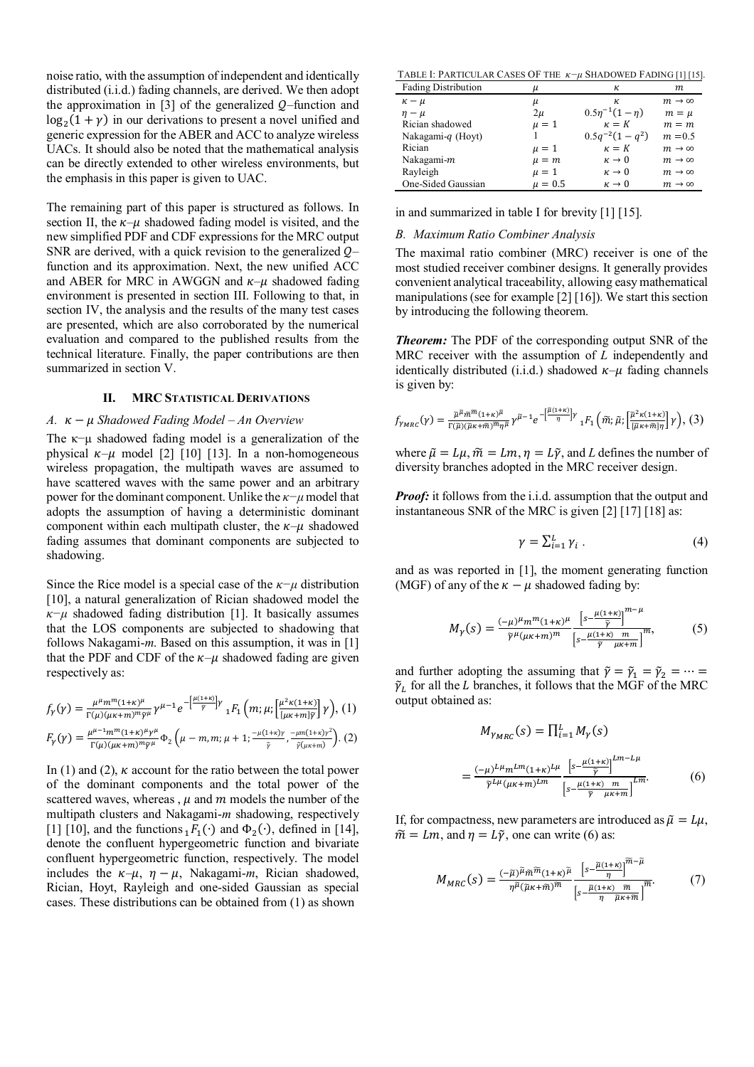noise ratio, with the assumption of independent and identically distributed (i.i.d.) fading channels, are derived. We then adopt the approximation in  $[3]$  of the generalized  $Q$ –function and  $log_2(1 + \gamma)$  in our derivations to present a novel unified and generic expression for the ABER and ACC to analyze wireless UACs. It should also be noted that the mathematical analysis can be directly extended to other wireless environments, but the emphasis in this paper is given to UAC.

The remaining part of this paper is structured as follows. In section II, the  $\kappa-\mu$  shadowed fading model is visited, and the new simplified PDF and CDF expressions for the MRC output SNR are derived, with a quick revision to the generalized  $Q$ function and its approximation. Next, the new unified ACC and ABER for MRC in AWGGN and  $\kappa-\mu$  shadowed fading environment is presented in section III. Following to that, in section IV, the analysis and the results of the many test cases are presented, which are also corroborated by the numerical evaluation and compared to the published results from the technical literature. Finally, the paper contributions are then summarized in section V.

# **II. MRC STATISTICAL DERIVATIONS**

# *A.* ߢ − ߤ *Shadowed Fading Model – An Overview*

The  $\kappa$ −μ shadowed fading model is a generalization of the physical  $\kappa-\mu$  model [2] [10] [13]. In a non-homogeneous wireless propagation, the multipath waves are assumed to have scattered waves with the same power and an arbitrary power for the dominant component. Unlike the *κ−μ* model that adopts the assumption of having a deterministic dominant component within each multipath cluster, the  $\kappa-\mu$  shadowed fading assumes that dominant components are subjected to shadowing.

Since the Rice model is a special case of the *κ−μ* distribution [10], a natural generalization of Rician shadowed model the  $\kappa-\mu$  shadowed fading distribution [1]. It basically assumes that the LOS components are subjected to shadowing that follows Nakagami-*m*. Based on this assumption, it was in [1] that the PDF and CDF of the  $\kappa-\mu$  shadowed fading are given respectively as:

$$
f_{\gamma}(\gamma) = \frac{\mu^{\mu} m^{m} (1+\kappa)^{\mu}}{\Gamma(\mu)(\mu\kappa+m)^{m} \tilde{\gamma}^{\mu}} \gamma^{\mu-1} e^{-\left[\frac{\mu(1+\kappa)}{\tilde{\gamma}}\right] \gamma} {}_{1}F_{1}\left(m; \mu; \left[\frac{\mu^{2} \kappa(1+\kappa)}{[\mu\kappa+m]\tilde{\gamma}}\right] \gamma\right), (1)
$$

$$
F_{\gamma}(\gamma) = \frac{\mu^{\mu-1} m^m (1+\kappa)^{\mu} \gamma^{\mu}}{\Gamma(\mu)(\mu\kappa + m)^m \tilde{\gamma}^{\mu}} \Phi_2 \left( \mu - m, m; \mu + 1; \frac{-\mu (1+\kappa) \gamma}{\tilde{\gamma}} , \frac{-\mu m (1+\kappa) \gamma^2}{\tilde{\gamma} (\mu\kappa + m)} \right). (2)
$$

In (1) and (2),  $\kappa$  account for the ratio between the total power of the dominant components and the total power of the scattered waves, whereas,  $\mu$  and  $m$  models the number of the multipath clusters and Nakagami-*m* shadowing, respectively [1] [10], and the functions  $_1F_1(·)$  and  $\Phi_2(·)$ , defined in [14], denote the confluent hypergeometric function and bivariate confluent hypergeometric function, respectively. The model includes the  $\kappa-\mu$ ,  $\eta-\mu$ , Nakagami-*m*, Rician shadowed, Rician, Hoyt, Rayleigh and one-sided Gaussian as special cases. These distributions can be obtained from (1) as shown

TABLE I: PARTICULAR CASES OF THE *κ−μ* SHADOWED FADING [1] [15].

| <b>Fading Distribution</b> | и           | к                      | m.                     |
|----------------------------|-------------|------------------------|------------------------|
| $\kappa - \mu$             | μ           | к.                     | $m \rightarrow \infty$ |
| $\eta - \mu$               | $2\mu$      | $0.5\eta^{-1}(1-\eta)$ | $m = \mu$              |
| Rician shadowed            | $\mu = 1$   | $\kappa = K$           | $m = m$                |
| Nakagami-q (Hoyt)          |             | $0.5q^{-2}(1-q^2)$     | $m = 0.5$              |
| Rician                     | $\mu = 1$   | $\kappa = K$           | $m \rightarrow \infty$ |
| Nakagami-m                 | $\mu = m$   | $\kappa \to 0$         | $m \rightarrow \infty$ |
| Rayleigh                   | $\mu = 1$   | $\kappa \to 0$         | $m \rightarrow \infty$ |
| One-Sided Gaussian         | $\mu = 0.5$ | $\kappa \to 0$         | $m \rightarrow \infty$ |

in and summarized in table I for brevity [1] [15].

# *B. Maximum Ratio Combiner Analysis*

The maximal ratio combiner (MRC) receiver is one of the most studied receiver combiner designs. It generally provides convenient analytical traceability, allowing easy mathematical manipulations (see for example [2] [16]). We start this section by introducing the following theorem.

*Theorem:* The PDF of the corresponding output SNR of the MRC receiver with the assumption of *L* independently and identically distributed (i.i.d.) shadowed  $\kappa-\mu$  fading channels is given by:

$$
f_{\gamma_{MRC}}(\gamma) = \frac{\tilde{\mu}^{\tilde{\mu}} \tilde{m}^{\tilde{m}} (1+\kappa)^{\tilde{\mu}}}{\Gamma(\tilde{\mu})(\tilde{\mu}\kappa+\tilde{m})^{\tilde{m}} \eta^{\tilde{\mu}}} \gamma^{\tilde{\mu}-1} e^{-\left[\frac{\tilde{\mu}(1+\kappa)}{\eta}\right] \gamma} {}_{1}F_{1}\left(\tilde{m};\tilde{\mu};\left[\frac{\tilde{\mu}^{2}\kappa(1+\kappa)}{[\tilde{\mu}\kappa+\tilde{m}]\eta}\right] \gamma\right), (3)
$$

where  $\tilde{\mu} = L\mu$ ,  $\tilde{m} = Lm$ ,  $\eta = L\tilde{\gamma}$ , and *L* defines the number of diversity branches adopted in the MRC receiver design.

*Proof:* it follows from the i.i.d. assumption that the output and instantaneous SNR of the MRC is given [2] [17] [18] as:

$$
\gamma = \sum_{i=1}^{L} \gamma_i \ . \tag{4}
$$

and as was reported in [1], the moment generating function (MGF) of any of the  $\kappa - \mu$  shadowed fading by:

$$
M_{\gamma}(s) = \frac{(-\mu)^{\mu} m^{m} (1+\kappa)^{\mu}}{\tilde{\gamma}^{\mu} (\mu \kappa + m)^{m}} \frac{\left[s - \frac{\mu(1+\kappa)}{\tilde{\gamma}}\right]^{m-\mu}}{\left[s - \frac{\mu(1+\kappa)}{\tilde{\gamma}} \frac{m}{\mu \kappa + m}\right]^{m}},
$$
(5)

and further adopting the assuming that  $\tilde{\gamma} = \tilde{\gamma}_1 = \tilde{\gamma}_2 = \cdots =$  $\tilde{\gamma}_L$  for all the  $L$  branches, it follows that the MGF of the MRC output obtained as:

$$
M_{\gamma_{MRC}}(s) = \prod_{i=1}^{L} M_{\gamma}(s)
$$
  
= 
$$
\frac{(-\mu)^{L\mu} m^{Lm} (1+\kappa)^{L\mu}}{\tilde{\gamma}^{L\mu} (\mu\kappa + m)^{Lm}} \frac{\left[s - \frac{\mu(1+\kappa)}{\tilde{\gamma}}\right]^{Lm - L\mu}}{\left[s - \frac{\mu(1+\kappa)}{\tilde{\gamma}} \frac{m}{\mu\kappa + m}\right]^{Lm}}.
$$
 (6)

بہ ب

If, for compactness, new parameters are introduced as  $\tilde{\mu} = L\mu$ ,  $\tilde{m} = Lm$ , and  $\eta = L\tilde{\gamma}$ , one can write (6) as:

$$
M_{MRC}(s) = \frac{(-\tilde{\mu})^{\tilde{\mu}} \tilde{m}^{\tilde{n}} (1+\kappa)^{\tilde{\mu}}}{\eta^{\tilde{\mu}} (\tilde{\mu}\kappa + \tilde{m})^{\tilde{m}}} \frac{\left[s - \frac{\tilde{\mu}(1+\kappa)}{\eta}\right]^{m-\mu}}{\left[s - \frac{\tilde{\mu}(1+\kappa)}{\eta} \frac{\tilde{m}}{\tilde{\mu}\kappa + \tilde{m}}\right]^{\tilde{m}}}.
$$
(7)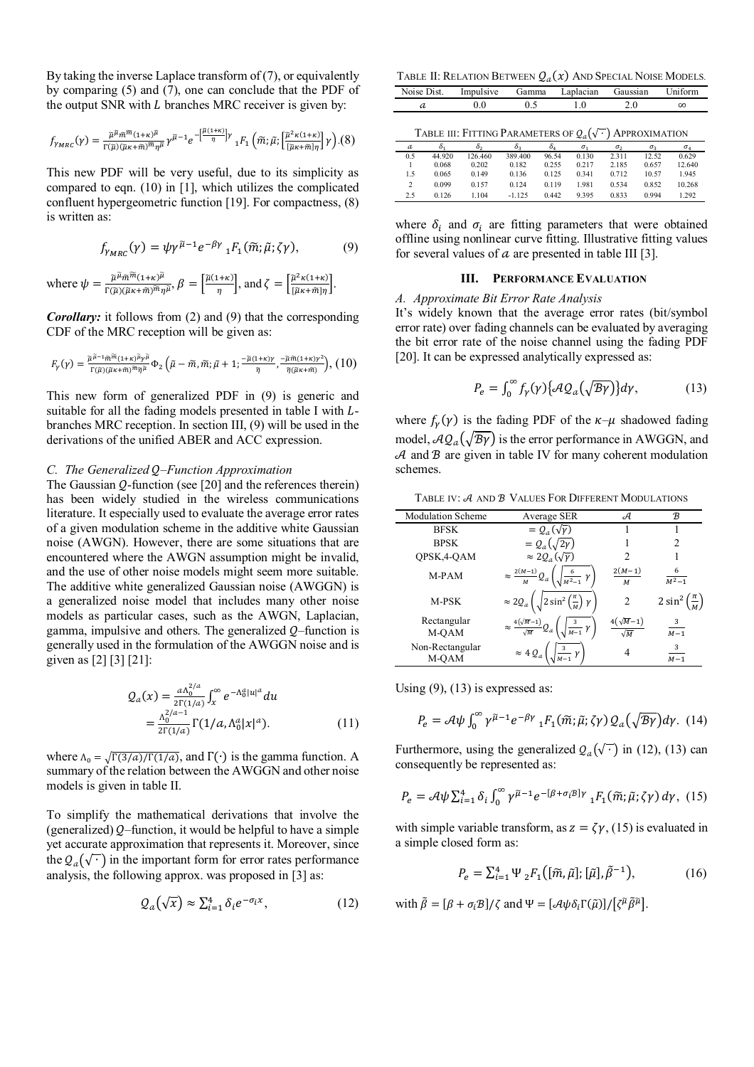By taking the inverse Laplace transform of (7), or equivalently by comparing (5) and (7), one can conclude that the PDF of the output SNR with  $L$  branches MRC receiver is given by:

$$
f_{\gamma_{MRC}}(\gamma) = \frac{\tilde{\mu}^{\tilde{\mu}_{\tilde{m}}\tilde{m}}(1+\kappa)^{\tilde{\mu}}}{\Gamma(\tilde{\mu})(\tilde{\mu}\kappa+\tilde{m})^{\tilde{m}}\eta^{\tilde{\mu}}}\gamma^{\tilde{\mu}-1}e^{-\left[\frac{\tilde{\mu}(1+\kappa)}{\eta}\right]\gamma}\,{}_{1}F_{1}\left(\tilde{m};\tilde{\mu};\left[\frac{\tilde{\mu}^{2}\kappa(1+\kappa)}{|\tilde{\mu}\kappa+\tilde{m}|\eta}\right]\gamma\right). (8)
$$

This new PDF will be very useful, due to its simplicity as compared to eqn. (10) in [1], which utilizes the complicated confluent hypergeometric function [19]. For compactness, (8) is written as:

$$
f_{\gamma_{MRC}}(\gamma) = \psi \gamma^{\tilde{\mu}-1} e^{-\beta \gamma} {}_{1}F_{1}(\tilde{m}; \tilde{\mu}; \zeta \gamma), \tag{9}
$$

where 
$$
\psi = \frac{\tilde{\mu}^{\tilde{\mu}}\tilde{m}^{\tilde{m}}(1+\kappa)^{\tilde{\mu}}}{\Gamma(\tilde{\mu})(\tilde{\mu}\kappa+\tilde{m})^{\tilde{m}}\eta^{\tilde{\mu}}}, \beta = \left[\frac{\tilde{\mu}(1+\kappa)}{\eta}\right],
$$
 and  $\zeta = \left[\frac{\tilde{\mu}^2\kappa(1+\kappa)}{[\tilde{\mu}\kappa+\tilde{m}]\eta}\right].$ 

*Corollary:* it follows from (2) and (9) that the corresponding CDF of the MRC reception will be given as:

$$
F_Y(\gamma)=\frac{\tilde{\mu}^{\tilde{\mu}-1}\tilde{m}^{\tilde{m}}(1+\kappa)^{\tilde{\mu}}\gamma^{\tilde{\mu}}}{\Gamma(\tilde{\mu})(\tilde{\mu}\kappa+\tilde{m})^{\tilde{m}}\tilde{\eta}^{\tilde{\mu}}}\Phi_2\left(\tilde{\mu}-\tilde{m},\tilde{m};\tilde{\mu}+1;\frac{-\tilde{\mu}(1+\kappa)\gamma}{\tilde{\eta}},\frac{-\tilde{\mu}\tilde{m}(1+\kappa)\gamma^2}{\tilde{\eta}(\tilde{\mu}\kappa+\tilde{m})}\right), (10)
$$

This new form of generalized PDF in (9) is generic and suitable for all the fading models presented in table I with  $L$ branches MRC reception. In section III, (9) will be used in the derivations of the unified ABER and ACC expression.

# *C. The Generalized Q–Function Approximation*

The Gaussian  $Q$ -function (see [20] and the references therein) has been widely studied in the wireless communications literature. It especially used to evaluate the average error rates of a given modulation scheme in the additive white Gaussian noise (AWGN). However, there are some situations that are encountered where the AWGN assumption might be invalid, and the use of other noise models might seem more suitable. The additive white generalized Gaussian noise (AWGGN) is a generalized noise model that includes many other noise models as particular cases, such as the AWGN, Laplacian, gamma, impulsive and others. The generalized  $Q$ –function is generally used in the formulation of the AWGGN noise and is given as [2] [3] [21]:

$$
Q_a(x) = \frac{a\Lambda_0^{2/a}}{2\Gamma(1/a)} \int_x^{\infty} e^{-\Lambda_0^a |u|^a} du
$$
  
= 
$$
\frac{\Lambda_0^{2/a-1}}{2\Gamma(1/a)} \Gamma(1/a, \Lambda_0^a |x|^a).
$$
 (11)

where  $\Lambda_0 = \sqrt{\Gamma(3/a)/\Gamma(1/a)}$ , and  $\Gamma(\cdot)$  is the gamma function. A summary of the relation between the AWGGN and other noise models is given in table II.

To simplify the mathematical derivations that involve the (generalized)  $Q$ –function, it would be helpful to have a simple yet accurate approximation that represents it. Moreover, since the  $Q_a(\sqrt{\cdot})$  in the important form for error rates performance analysis, the following approx. was proposed in [3] as:

$$
Q_a(\sqrt{x}) \approx \sum_{i=1}^4 \delta_i e^{-\sigma_i x}, \qquad (12)
$$

TABLE II: RELATION BETWEEN  $Q_a(x)$  And Special Noise Models.

| Noise Dist. | Impulsive Gamma |         | Laplacian Gaussian |     | <b>Uniform</b> |
|-------------|-----------------|---------|--------------------|-----|----------------|
| а           | 0.0             | $0.5 -$ | 1.0                | 2.0 | $\infty$       |

| TABLE III: FITTING PARAMETERS OF $Q_a(\sqrt{\cdot})$ APPROXIMATION |  |
|--------------------------------------------------------------------|--|
|--------------------------------------------------------------------|--|

| a   | ٥.     | $\delta_2$ | $\delta_{3}$ | δá    | $\sigma_{1}$ | $\sigma_2$ | $\sigma_{2}$ | $\sigma_{\scriptscriptstyle{A}}$ |
|-----|--------|------------|--------------|-------|--------------|------------|--------------|----------------------------------|
| 0.5 | 44.920 | 126.460    | 389.400      | 96.54 | 0.130        | 2.311      | 12.52        | 0.629                            |
|     | 0.068  | 0.202      | 0.182        | 0.255 | 0.217        | 2.185      | 0.657        | 12.640                           |
| 1.5 | 0.065  | 0.149      | 0.136        | 0.125 | 0.341        | 0.712      | 10.57        | 1.945                            |
|     | 0.099  | 0.157      | 0.124        | 0.119 | 1.981        | 0.534      | 0.852        | 10.268                           |
| 2.5 | 0.126  | 1.104      | $-1.125$     | 0.442 | 9.395        | 0.833      | 0.994        | 1.292                            |

where  $\delta_i$  and  $\sigma_i$  are fitting parameters that were obtained offline using nonlinear curve fitting. Illustrative fitting values for several values of  $a$  are presented in table III [3].

# **III. PERFORMANCE EVALUATION**

*A. Approximate Bit Error Rate Analysis*

It's widely known that the average error rates (bit/symbol error rate) over fading channels can be evaluated by averaging the bit error rate of the noise channel using the fading PDF [20]. It can be expressed analytically expressed as:

$$
P_e = \int_0^\infty f_Y(\gamma) \{ \mathcal{A}Q_a(\sqrt{\mathcal{B}\gamma}) \} d\gamma, \tag{13}
$$

where  $f_{\gamma}(\gamma)$  is the fading PDF of the  $\kappa-\mu$  shadowed fading model,  $AQ_a(\sqrt{\frac{B\gamma}{\rho}})$  is the error performance in AWGGN, and  $A$  and  $B$  are given in table IV for many coherent modulation schemes.

TABLE IV: A AND **B** VALUES FOR DIFFERENT MODULATIONS

| <b>Modulation Scheme</b> | Average SER                                   | А                          | B              |
|--------------------------|-----------------------------------------------|----------------------------|----------------|
| <b>BFSK</b>              | $= Q_a(\sqrt{\gamma})$                        |                            |                |
| <b>BPSK</b>              | $=Q_a(\sqrt{2})$                              |                            | 2              |
| QPSK,4-QAM               | $\approx 2Q_a(\sqrt{\gamma})$                 | 2                          |                |
| M-PAM                    | $\approx \frac{2(M-1)}{M}$<br>$\mathcal{Q}_a$ | $2(M-1)$<br>M              | 6<br>$M^2 - 1$ |
| M-PSK                    | $\approx 2Q_a$<br>$2 \sin^2$<br>$\gamma$      | 2                          | $2 \sin^2$     |
| Rectangular<br>M-QAM     | $\approx \frac{4(\sqrt{M}-1)}{2}$             | $\sqrt{M-1}$<br>$\sqrt{M}$ | 3<br>$M-1$     |
| Non-Rectangular<br>M-QAM | $\approx$ 4 $Q_a$                             | 4                          | 3<br>$M-1$     |

Using  $(9)$ ,  $(13)$  is expressed as:

$$
P_e = \mathcal{A}\psi \int_0^\infty \gamma^{\tilde{\mu}-1} e^{-\beta \gamma} {}_1F_1(\tilde{m}; \tilde{\mu}; \zeta \gamma) \mathcal{Q}_a(\sqrt{\mathcal{B}\gamma}) d\gamma. \tag{14}
$$

Furthermore, using the generalized  $Q_a(\sqrt{\cdot})$  in (12), (13) can consequently be represented as:

$$
P_e = \mathcal{A}\psi \sum_{i=1}^4 \delta_i \int_0^\infty \gamma^{\tilde{\mu}-1} e^{-[\beta + \sigma_i \beta] \gamma} {}_1F_1(\tilde{m}; \tilde{\mu}; \zeta \gamma) d\gamma, \tag{15}
$$

with simple variable transform, as  $z = \zeta \gamma$ , (15) is evaluated in a simple closed form as:

$$
P_e = \sum_{i=1}^4 \Psi_2 F_1([\tilde{m}, \tilde{\mu}]; [\tilde{\mu}], \tilde{\beta}^{-1}), \tag{16}
$$

with  $\tilde{\beta} = [\beta + \sigma_i \mathcal{B}]/\zeta$  and  $\Psi = [\mathcal{A}\psi \delta_i \Gamma(\tilde{\mu})]/[\zeta^{\tilde{\mu}} \tilde{\beta}^{\tilde{\mu}}].$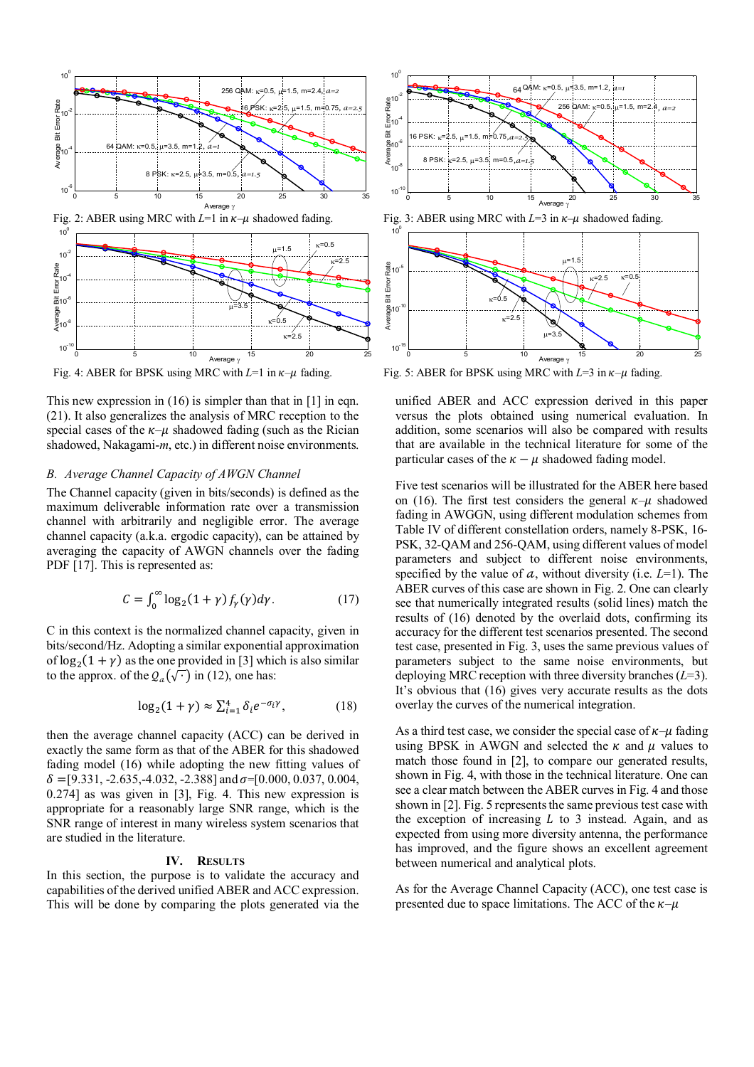

This new expression in  $(16)$  is simpler than that in  $[1]$  in eqn. (21). It also generalizes the analysis of MRC reception to the special cases of the  $\kappa-\mu$  shadowed fading (such as the Rician shadowed, Nakagami-*m*, etc.) in different noise environments.

# *B. Average Channel Capacity of AWGN Channel*

The Channel capacity (given in bits/seconds) is defined as the maximum deliverable information rate over a transmission channel with arbitrarily and negligible error. The average channel capacity (a.k.a. ergodic capacity), can be attained by averaging the capacity of AWGN channels over the fading PDF [17]. This is represented as:

$$
C = \int_0^\infty \log_2(1+\gamma) f_\gamma(\gamma) d\gamma. \tag{17}
$$

C in this context is the normalized channel capacity, given in bits/second/Hz. Adopting a similar exponential approximation of  $log_2(1 + \gamma)$  as the one provided in [3] which is also similar to the approx. of the  $Q_a(\sqrt{\cdot})$  in (12), one has:

$$
\log_2(1+\gamma) \approx \sum_{i=1}^4 \delta_i e^{-\sigma_i \gamma},\tag{18}
$$

then the average channel capacity (ACC) can be derived in exactly the same form as that of the ABER for this shadowed fading model (16) while adopting the new fitting values of  $\delta = [9.331, -2.635, -4.032, -2.388]$  and  $\sigma = [0.000, 0.037, 0.004,$ 0.274] as was given in [3], Fig. 4. This new expression is appropriate for a reasonably large SNR range, which is the SNR range of interest in many wireless system scenarios that are studied in the literature.

#### **IV. RESULTS**

In this section, the purpose is to validate the accuracy and capabilities of the derived unified ABER and ACC expression. This will be done by comparing the plots generated via the



Fig. 4: ABER for BPSK using MRC with  $L=1$  in  $\kappa-\mu$  fading. Fig. 5: ABER for BPSK using MRC with  $L=3$  in  $\kappa-\mu$  fading. Average  $\gamma$ 

 $2 - 2$  $_{\rm K=0.5}$ 

10

E<br>Average<br>4

Bit I

unified ABER and ACC expression derived in this paper versus the plots obtained using numerical evaluation. In addition, some scenarios will also be compared with results that are available in the technical literature for some of the particular cases of the  $\kappa - \mu$  shadowed fading model.

0 5 10 15 20 25

 $\mu = 3$ 

Five test scenarios will be illustrated for the ABER here based on (16). The first test considers the general  $\kappa-\mu$  shadowed fading in AWGGN, using different modulation schemes from Table IV of different constellation orders, namely 8-PSK, 16- PSK, 32-QAM and 256-QAM, using different values of model parameters and subject to different noise environments, specified by the value of  $a$ , without diversity (i.e.  $L=1$ ). The ABER curves of this case are shown in Fig. 2. One can clearly see that numerically integrated results (solid lines) match the results of (16) denoted by the overlaid dots, confirming its accuracy for the different test scenarios presented. The second test case, presented in Fig. 3, uses the same previous values of parameters subject to the same noise environments, but deploying MRC reception with three diversity branches (*L*=3). It's obvious that (16) gives very accurate results as the dots overlay the curves of the numerical integration.

As a third test case, we consider the special case of  $\kappa-\mu$  fading using BPSK in AWGN and selected the  $\kappa$  and  $\mu$  values to match those found in [2], to compare our generated results, shown in Fig. 4, with those in the technical literature. One can see a clear match between the ABER curves in Fig. 4 and those shown in [2]. Fig. 5 represents the same previous test case with the exception of increasing  $L$  to 3 instead. Again, and as expected from using more diversity antenna, the performance has improved, and the figure shows an excellent agreement between numerical and analytical plots.

As for the Average Channel Capacity (ACC), one test case is presented due to space limitations. The ACC of the  $\kappa-\mu$